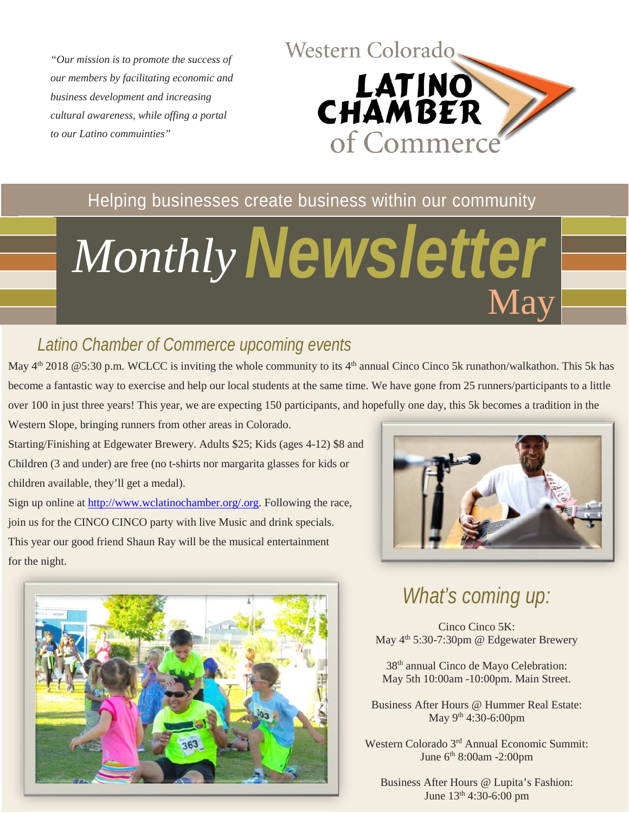*"Our mission is to promote the success of our members by facilitating economic and business development and increasing cultural awareness, while offing a portal to our Latino commuinties"*



#### Helping businesses create business within our community

# *Newsletter Monthly* May

#### *Latino Chamber of Commerce upcoming events*

May 4<sup>th</sup> 2018 @5:30 p.m. WCLCC is inviting the whole community to its 4<sup>th</sup> annual Cinco Cinco 5k runathon/walkathon. This 5k has become a fantastic way to exercise and help our local students at the same time. We have gone from 25 runners/participants to a little over 100 in just three years! This year, we are expecting 150 participants, and hopefully one day, this 5k becomes a tradition in the

Western Slope, bringing runners from other areas in Colorado. Starting/Finishing at Edgewater Brewery. Adults \$25; Kids (ages 4-12) \$8 and Children (3 and under) are free (no t-shirts nor margarita glasses for kids or children available, they'll get a medal).

Sign up online at [http://www.wclatinochamber.org/.org.](http://www.wclatinochamber.org/.org) Following the race, join us for the CINCO CINCO party with live Music and drink specials. This year our good friend Shaun Ray will be the musical entertainment for the night.





## *What's coming up:*

Cinco Cinco 5K: May  $4<sup>th</sup> 5:30-7:30$ pm @ Edgewater Brewery

38th annual Cinco de Mayo Celebration: May 5th 10:00am -10:00pm. Main Street.

Business After Hours @ Hummer Real Estate: May 9<sup>th</sup> 4:30-6:00pm

Western Colorado 3rd Annual Economic Summit: June 6th 8:00am -2:00pm

Business After Hours @ Lupita's Fashion: June 13th 4:30-6:00 pm